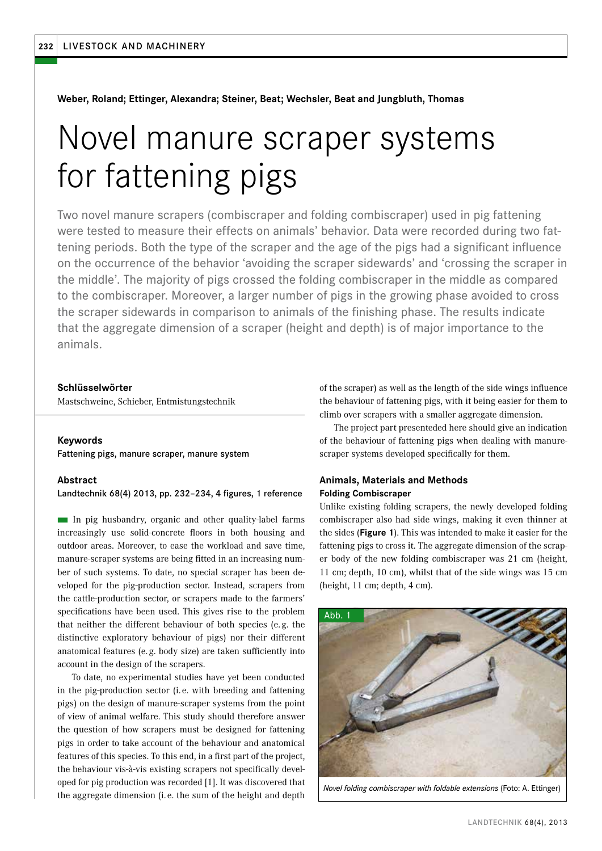#### **Weber, Roland; Ettinger, Alexandra; Steiner, Beat; Wechsler, Beat and Jungbluth, Thomas**

# Novel manure scraper systems for fattening pigs

Two novel manure scrapers (combiscraper and folding combiscraper) used in pig fattening were tested to measure their effects on animals' behavior. Data were recorded during two fattening periods. Both the type of the scraper and the age of the pigs had a significant influence on the occurrence of the behavior 'avoiding the scraper sidewards' and 'crossing the scraper in the middle'. The majority of pigs crossed the folding combiscraper in the middle as compared to the combiscraper. Moreover, a larger number of pigs in the growing phase avoided to cross the scraper sidewards in comparison to animals of the finishing phase. The results indicate that the aggregate dimension of a scraper (height and depth) is of major importance to the animals.

#### **Schlüsselwörter**

Mastschweine, Schieber, Entmistungstechnik

#### **Keywords**

Fattening pigs, manure scraper, manure system

#### **Abstract**

Landtechnik 68(4) 2013, pp. 232–234, 4 figures, 1 reference

n In pig husbandry, organic and other quality-label farms increasingly use solid-concrete floors in both housing and outdoor areas. Moreover, to ease the workload and save time, manure-scraper systems are being fitted in an increasing number of such systems. To date, no special scraper has been developed for the pig-production sector. Instead, scrapers from the cattle-production sector, or scrapers made to the farmers' specifications have been used. This gives rise to the problem that neither the different behaviour of both species (e.g. the distinctive exploratory behaviour of pigs) nor their different anatomical features (e. g. body size) are taken sufficiently into account in the design of the scrapers.

To date, no experimental studies have yet been conducted in the pig-production sector (i. e. with breeding and fattening pigs) on the design of manure-scraper systems from the point of view of animal welfare. This study should therefore answer the question of how scrapers must be designed for fattening pigs in order to take account of the behaviour and anatomical features of this species. To this end, in a first part of the project, the behaviour vis-à-vis existing scrapers not specifically developed for pig production was recorded [1]. It was discovered that the aggregate dimension (i. e. the sum of the height and depth of the scraper) as well as the length of the side wings influence the behaviour of fattening pigs, with it being easier for them to climb over scrapers with a smaller aggregate dimension.

The project part presenteded here should give an indication of the behaviour of fattening pigs when dealing with manurescraper systems developed specifically for them.

## **Animals, Materials and Methods Folding Combiscraper**

Unlike existing folding scrapers, the newly developed folding combiscraper also had side wings, making it even thinner at the sides (**Figure 1**). This was intended to make it easier for the fattening pigs to cross it. The aggregate dimension of the scraper body of the new folding combiscraper was 21 cm (height, 11 cm; depth, 10 cm), whilst that of the side wings was 15 cm (height, 11 cm; depth, 4 cm).



*Novel folding combiscraper with foldable extensions* (Foto: A. Ettinger)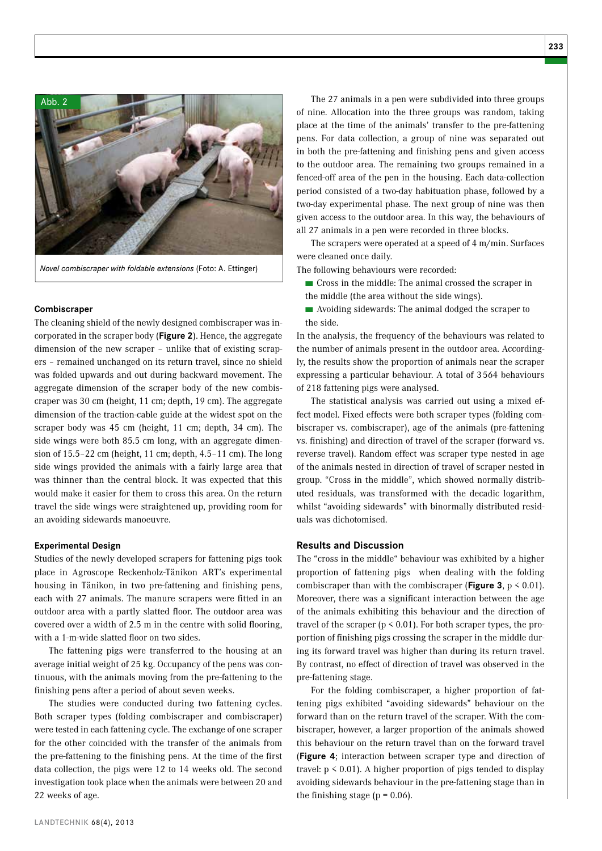



*Novel combiscraper with foldable extensions* (Foto: A. Ettinger)

#### **Combiscraper**

The cleaning shield of the newly designed combiscraper was incorporated in the scraper body (**Figure 2**). Hence, the aggregate dimension of the new scraper – unlike that of existing scrapers – remained unchanged on its return travel, since no shield was folded upwards and out during backward movement. The aggregate dimension of the scraper body of the new combiscraper was 30 cm (height, 11 cm; depth, 19 cm). The aggregate dimension of the traction-cable guide at the widest spot on the scraper body was 45 cm (height, 11 cm; depth, 34 cm). The side wings were both 85.5 cm long, with an aggregate dimension of 15.5–22 cm (height, 11 cm; depth, 4.5–11 cm). The long side wings provided the animals with a fairly large area that was thinner than the central block. It was expected that this would make it easier for them to cross this area. On the return travel the side wings were straightened up, providing room for an avoiding sidewards manoeuvre.

#### **Experimental Design**

Studies of the newly developed scrapers for fattening pigs took place in Agroscope Reckenholz-Tänikon ART's experimental housing in Tänikon, in two pre-fattening and finishing pens, each with 27 animals. The manure scrapers were fitted in an outdoor area with a partly slatted floor. The outdoor area was covered over a width of 2.5 m in the centre with solid flooring, with a 1-m-wide slatted floor on two sides.

The fattening pigs were transferred to the housing at an average initial weight of 25 kg. Occupancy of the pens was continuous, with the animals moving from the pre-fattening to the finishing pens after a period of about seven weeks.

The studies were conducted during two fattening cycles. Both scraper types (folding combiscraper and combiscraper) were tested in each fattening cycle. The exchange of one scraper for the other coincided with the transfer of the animals from the pre-fattening to the finishing pens. At the time of the first data collection, the pigs were 12 to 14 weeks old. The second investigation took place when the animals were between 20 and 22 weeks of age.

The 27 animals in a pen were subdivided into three groups of nine. Allocation into the three groups was random, taking place at the time of the animals' transfer to the pre-fattening pens. For data collection, a group of nine was separated out in both the pre-fattening and finishing pens and given access to the outdoor area. The remaining two groups remained in a fenced-off area of the pen in the housing. Each data-collection period consisted of a two-day habituation phase, followed by a two-day experimental phase. The next group of nine was then given access to the outdoor area. In this way, the behaviours of all 27 animals in a pen were recorded in three blocks.

The scrapers were operated at a speed of 4 m/min. Surfaces were cleaned once daily.

The following behaviours were recorded:

■ Cross in the middle: The animal crossed the scraper in the middle (the area without the side wings).

■ Avoiding sidewards: The animal dodged the scraper to the side.

In the analysis, the frequency of the behaviours was related to the number of animals present in the outdoor area. Accordingly, the results show the proportion of animals near the scraper expressing a particular behaviour. A total of 3564 behaviours of 218 fattening pigs were analysed.

The statistical analysis was carried out using a mixed effect model. Fixed effects were both scraper types (folding combiscraper vs. combiscraper), age of the animals (pre-fattening vs. finishing) and direction of travel of the scraper (forward vs. reverse travel). Random effect was scraper type nested in age of the animals nested in direction of travel of scraper nested in group. "Cross in the middle", which showed normally distributed residuals, was transformed with the decadic logarithm, whilst "avoiding sidewards" with binormally distributed residuals was dichotomised.

### **Results and Discussion**

The "cross in the middle" behaviour was exhibited by a higher proportion of fattening pigs when dealing with the folding combiscraper than with the combiscraper (**Figure 3**,  $p < 0.01$ ). Moreover, there was a significant interaction between the age of the animals exhibiting this behaviour and the direction of travel of the scraper ( $p < 0.01$ ). For both scraper types, the proportion of finishing pigs crossing the scraper in the middle during its forward travel was higher than during its return travel. By contrast, no effect of direction of travel was observed in the pre-fattening stage.

For the folding combiscraper, a higher proportion of fattening pigs exhibited "avoiding sidewards" behaviour on the forward than on the return travel of the scraper. With the combiscraper, however, a larger proportion of the animals showed this behaviour on the return travel than on the forward travel (**Figure 4**; interaction between scraper type and direction of travel:  $p \le 0.01$ ). A higher proportion of pigs tended to display avoiding sidewards behaviour in the pre-fattening stage than in the finishing stage ( $p = 0.06$ ).